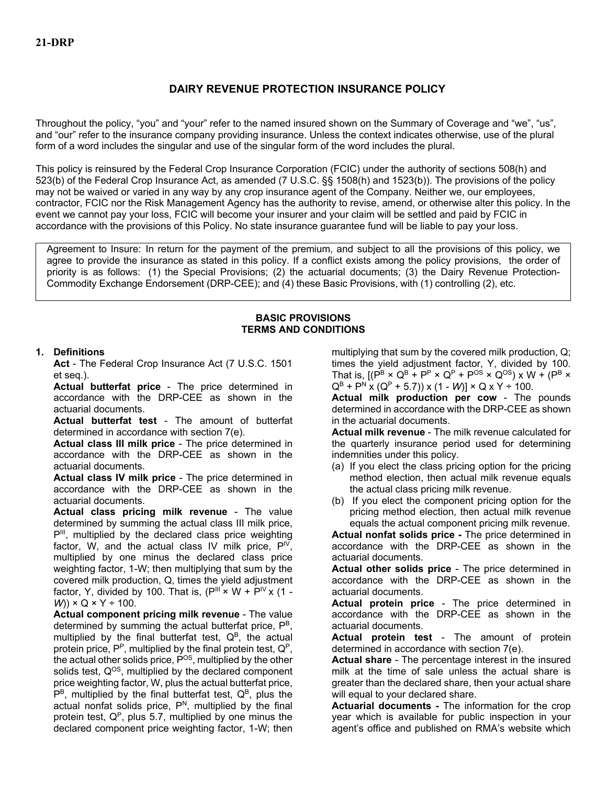# **DAIRY REVENUE PROTECTION INSURANCE POLICY**

Throughout the policy, "you" and "your" refer to the named insured shown on the Summary of Coverage and "we", "us", and "our" refer to the insurance company providing insurance. Unless the context indicates otherwise, use of the plural form of a word includes the singular and use of the singular form of the word includes the plural.

This policy is reinsured by the Federal Crop Insurance Corporation (FCIC) under the authority of sections 508(h) and 523(b) of the Federal Crop Insurance Act, as amended (7 U.S.C. §§ 1508(h) and 1523(b)). The provisions of the policy may not be waived or varied in any way by any crop insurance agent of the Company. Neither we, our employees, contractor, FCIC nor the Risk Management Agency has the authority to revise, amend, or otherwise alter this policy. In the event we cannot pay your loss, FCIC will become your insurer and your claim will be settled and paid by FCIC in accordance with the provisions of this Policy. No state insurance guarantee fund will be liable to pay your loss.

Agreement to Insure: In return for the payment of the premium, and subject to all the provisions of this policy, we agree to provide the insurance as stated in this policy. If a conflict exists among the policy provisions, the order of priority is as follows: (1) the Special Provisions; (2) the actuarial documents; (3) the Dairy Revenue Protection-Commodity Exchange Endorsement (DRP-CEE); and (4) these Basic Provisions, with (1) controlling (2), etc.

#### **BASIC PROVISIONS TERMS AND CONDITIONS**

#### **1. Definitions**

**Act** - The Federal Crop Insurance Act (7 U.S.C. 1501 et seq.).

**Actual butterfat price** - The price determined in accordance with the DRP-CEE as shown in the actuarial documents.

**Actual butterfat test** - The amount of butterfat determined in accordance with section 7(e).

**Actual class III milk price** - The price determined in accordance with the DRP-CEE as shown in the actuarial documents.

**Actual class IV milk price** - The price determined in accordance with the DRP-CEE as shown in the actuarial documents.

**Actual class pricing milk revenue** - The value determined by summing the actual class III milk price, P<sup>III</sup>, multiplied by the declared class price weighting factor, W, and the actual class IV milk price,  $P^{\mid V}$ , multiplied by one minus the declared class price weighting factor, 1-W; then multiplying that sum by the covered milk production, Q, times the yield adjustment factor, Y, divided by 100. That is,  $(P^{\text{III}} \times W + P^{\text{IV}} \times (1 -$ *W*)) × Q × Y ÷ 100.

**Actual component pricing milk revenue** - The value determined by summing the actual butterfat price, P<sup>B</sup>, multiplied by the final butterfat test,  $Q^B$ , the actual protein price,  $P^P$ , multiplied by the final protein test,  $Q^P$ , the actual other solids price,  $\mathsf{P}^{\text{OS}},$  multiplied by the other solids test,  $Q^{OS}$ , multiplied by the declared component price weighting factor, W, plus the actual butterfat price,  $P^B$ , multiplied by the final butterfat test,  $Q^B$ , plus the actual nonfat solids price,  $P<sup>N</sup>$ , multiplied by the final protein test,  $Q^P$ , plus 5.7, multiplied by one minus the declared component price weighting factor, 1-W; then

multiplying that sum by the covered milk production, Q; times the yield adjustment factor, Y, divided by 100. That is,  $[(P^B \times Q^B + P^P \times Q^P + P^{OS} \times Q^{OS}) \times W + (P^B \times P^P \times Q^{OS})$  $Q^B$  + P<sup>N</sup> x ( $Q^P$  + 5.7)) x (1 - *W*)] × Q x Y ÷ 100.

**Actual milk production per cow** - The pounds determined in accordance with the DRP-CEE as shown in the actuarial documents.

**Actual milk revenue** - The milk revenue calculated for the quarterly insurance period used for determining indemnities under this policy.

- (a) If you elect the class pricing option for the pricing method election, then actual milk revenue equals the actual class pricing milk revenue.
- (b) If you elect the component pricing option for the pricing method election, then actual milk revenue equals the actual component pricing milk revenue.

**Actual nonfat solids price -** The price determined in accordance with the DRP-CEE as shown in the actuarial documents.

**Actual other solids price** - The price determined in accordance with the DRP-CEE as shown in the actuarial documents.

**Actual protein price** - The price determined in accordance with the DRP-CEE as shown in the actuarial documents.

**Actual protein test** - The amount of protein determined in accordance with section 7(e).

**Actual share** - The percentage interest in the insured milk at the time of sale unless the actual share is greater than the declared share, then your actual share will equal to your declared share.

**Actuarial documents -** The information for the crop year which is available for public inspection in your agent's office and published on RMA's website which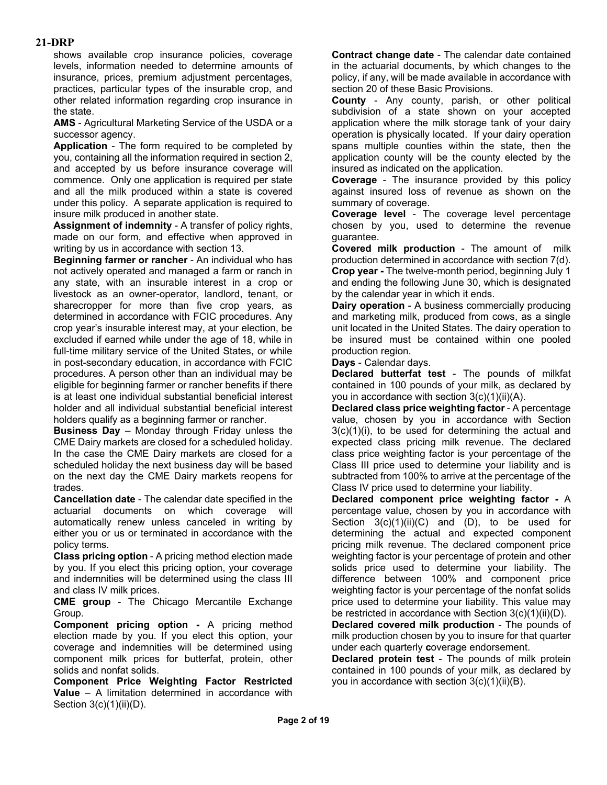shows available crop insurance policies, coverage levels, information needed to determine amounts of insurance, prices, premium adjustment percentages, practices, particular types of the insurable crop, and other related information regarding crop insurance in the state.

**AMS** - Agricultural Marketing Service of the USDA or a successor agency.

**Application** - The form required to be completed by you, containing all the information required in section 2, and accepted by us before insurance coverage will commence. Only one application is required per state and all the milk produced within a state is covered under this policy. A separate application is required to insure milk produced in another state.

**Assignment of indemnity** - A transfer of policy rights, made on our form, and effective when approved in writing by us in accordance with section 13.

**Beginning farmer or rancher** - An individual who has not actively operated and managed a farm or ranch in any state, with an insurable interest in a crop or livestock as an owner-operator, landlord, tenant, or sharecropper for more than five crop years, as determined in accordance with FCIC procedures. Any crop year's insurable interest may, at your election, be excluded if earned while under the age of 18, while in full-time military service of the United States, or while in post-secondary education, in accordance with FCIC procedures. A person other than an individual may be eligible for beginning farmer or rancher benefits if there is at least one individual substantial beneficial interest holder and all individual substantial beneficial interest holders qualify as a beginning farmer or rancher.

**Business Day** – Monday through Friday unless the CME Dairy markets are closed for a scheduled holiday. In the case the CME Dairy markets are closed for a scheduled holiday the next business day will be based on the next day the CME Dairy markets reopens for trades.

**Cancellation date** - The calendar date specified in the actuarial documents on which coverage will automatically renew unless canceled in writing by either you or us or terminated in accordance with the policy terms.

**Class pricing option** - A pricing method election made by you. If you elect this pricing option, your coverage and indemnities will be determined using the class III and class IV milk prices.

**CME group** - The Chicago Mercantile Exchange Group.

**Component pricing option -** A pricing method election made by you. If you elect this option, your coverage and indemnities will be determined using component milk prices for butterfat, protein, other solids and nonfat solids.

**Component Price Weighting Factor Restricted Value** – A limitation determined in accordance with Section  $3(c)(1)(ii)(D)$ .

**Contract change date** - The calendar date contained in the actuarial documents, by which changes to the policy, if any, will be made available in accordance with section 20 of these Basic Provisions.

**County** - Any county, parish, or other political subdivision of a state shown on your accepted application where the milk storage tank of your dairy operation is physically located. If your dairy operation spans multiple counties within the state, then the application county will be the county elected by the insured as indicated on the application.

**Coverage** - The insurance provided by this policy against insured loss of revenue as shown on the summary of coverage.

**Coverage level** - The coverage level percentage chosen by you, used to determine the revenue guarantee.

**Covered milk production** - The amount of milk production determined in accordance with section 7(d). **Crop year -** The twelve-month period, beginning July 1 and ending the following June 30, which is designated by the calendar year in which it ends.

**Dairy operation** - A business commercially producing and marketing milk, produced from cows, as a single unit located in the United States. The dairy operation to be insured must be contained within one pooled production region.

**Days** - Calendar days.

**Declared butterfat test** - The pounds of milkfat contained in 100 pounds of your milk, as declared by you in accordance with section 3(c)(1)(ii)(A).

**Declared class price weighting factor** - A percentage value, chosen by you in accordance with Section  $3(c)(1)(i)$ , to be used for determining the actual and expected class pricing milk revenue. The declared class price weighting factor is your percentage of the Class III price used to determine your liability and is subtracted from 100% to arrive at the percentage of the Class IV price used to determine your liability.

**Declared component price weighting factor -** A percentage value, chosen by you in accordance with Section  $3(c)(1)(ii)(C)$  and  $(D)$ , to be used for determining the actual and expected component pricing milk revenue. The declared component price weighting factor is your percentage of protein and other solids price used to determine your liability. The difference between 100% and component price weighting factor is your percentage of the nonfat solids price used to determine your liability. This value may be restricted in accordance with Section 3(c)(1)(ii)(D).

**Declared covered milk production** - The pounds of milk production chosen by you to insure for that quarter under each quarterly **c**overage endorsement.

**Declared protein test** - The pounds of milk protein contained in 100 pounds of your milk, as declared by you in accordance with section 3(c)(1)(ii)(B).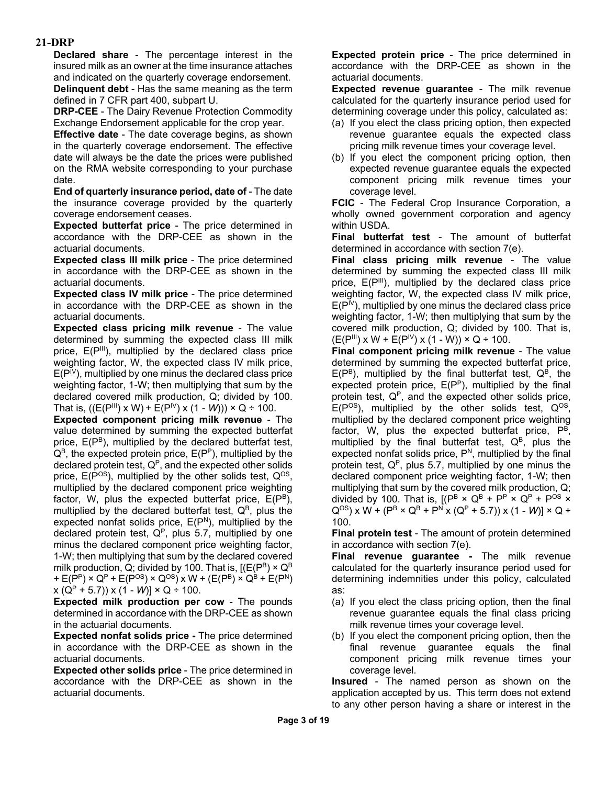**Declared share** - The percentage interest in the insured milk as an owner at the time insurance attaches and indicated on the quarterly coverage endorsement. **Delinquent debt** - Has the same meaning as the term defined in 7 CFR part 400, subpart U.

**DRP-CEE** - The Dairy Revenue Protection Commodity Exchange Endorsement applicable for the crop year.

**Effective date** - The date coverage begins, as shown in the quarterly coverage endorsement. The effective date will always be the date the prices were published on the RMA website corresponding to your purchase date.

**End of quarterly insurance period, date of** - The date the insurance coverage provided by the quarterly coverage endorsement ceases.

**Expected butterfat price** - The price determined in accordance with the DRP-CEE as shown in the actuarial documents.

**Expected class III milk price** - The price determined in accordance with the DRP-CEE as shown in the actuarial documents.

**Expected class IV milk price** - The price determined in accordance with the DRP-CEE as shown in the actuarial documents.

**Expected class pricing milk revenue** - The value determined by summing the expected class III milk price,  $E(P^{\text{III}})$ , multiplied by the declared class price weighting factor, W, the expected class IV milk price,  $E(P^{\mathsf{IV}})$ , multiplied by one minus the declared class price weighting factor, 1-W; then multiplying that sum by the declared covered milk production, Q; divided by 100. That is,  $((E(P^{III}) \times W) + E(P^{IV}) \times (1 - W)) \times Q \div 100$ .

**Expected component pricing milk revenue** - The value determined by summing the expected butterfat price, E(P<sup>B</sup>), multiplied by the declared butterfat test,  $Q^B$ , the expected protein price,  $E(P^P)$ , multiplied by the declared protein test,  $Q^P$ , and the expected other solids price,  $E(P^{OS})$ , multiplied by the other solids test,  $Q^{OS}$ , multiplied by the declared component price weighting factor, W, plus the expected butterfat price,  $E(P^B)$ , multiplied by the declared butterfat test,  $Q^B$ , plus the expected nonfat solids price,  $E(P^N)$ , multiplied by the declared protein test,  $Q^P$ , plus 5.7, multiplied by one minus the declared component price weighting factor, 1-W; then multiplying that sum by the declared covered milk production, Q; divided by 100. That is, [( $\mathsf{E}(\mathsf{P}^{\texttt{B}}) \times \mathsf{Q}^{\texttt{B}}$ +  $E(P^P)$  ×  $Q^P$  +  $E(P^{OS})$  ×  $Q^{OS}$ ) x W + ( $E(P^B)$  ×  $Q^B$  +  $E(P^N)$  $x (Q<sup>P</sup> + 5.7)$ )  $x (1 - W)$ ]  $\times Q + 100$ .

**Expected milk production per cow** - The pounds determined in accordance with the DRP-CEE as shown in the actuarial documents.

**Expected nonfat solids price -** The price determined in accordance with the DRP-CEE as shown in the actuarial documents.

**Expected other solids price** - The price determined in accordance with the DRP-CEE as shown in the actuarial documents.

**Expected protein price** - The price determined in accordance with the DRP-CEE as shown in the actuarial documents.

**Expected revenue guarantee** - The milk revenue calculated for the quarterly insurance period used for determining coverage under this policy, calculated as:

- (a) If you elect the class pricing option, then expected revenue guarantee equals the expected class pricing milk revenue times your coverage level.
- (b) If you elect the component pricing option, then expected revenue guarantee equals the expected component pricing milk revenue times your coverage level.

**FCIC** - The Federal Crop Insurance Corporation, a wholly owned government corporation and agency within USDA.

**Final butterfat test** - The amount of butterfat determined in accordance with section 7(e).

**Final class pricing milk revenue** - The value determined by summing the expected class III milk price,  $E(P^{III})$ , multiplied by the declared class price weighting factor, W, the expected class IV milk price,  $E(P^{\{V\}})$ , multiplied by one minus the declared class price weighting factor, 1-W; then multiplying that sum by the covered milk production, Q; divided by 100. That is,  $(E(P^{\text{III}}) \times W + E(P^{\text{IV}}) \times (1 - W)) \times Q \div 100.$ 

**Final component pricing milk revenue** - The value determined by summing the expected butterfat price,  $E(P^B)$ , multiplied by the final butterfat test,  $Q^B$ , the expected protein price,  $E(P^P)$ , multiplied by the final protein test,  $Q^P$ , and the expected other solids price,  $E(P^{OS})$ , multiplied by the other solids test,  $Q^{OS}$ , multiplied by the declared component price weighting factor, W, plus the expected butterfat price,  $P^B$ , multiplied by the final butterfat test,  $Q^B$ , plus the expected nonfat solids price,  $P<sup>N</sup>$ , multiplied by the final protein test,  $Q^P$ , plus 5.7, multiplied by one minus the declared component price weighting factor, 1-W; then multiplying that sum by the covered milk production, Q; divided by 100. That is,  $[(P^B \times Q^B + P^P \times Q^P + P^{OS} \times$  $Q^{OS}$ ) x W + ( $P^B \times Q^B$  +  $P^N$  x ( $Q^P$  + 5.7)) x (1 - *W*)]  $\times$  Q ÷ 100.

**Final protein test** - The amount of protein determined in accordance with section 7(e).

**Final revenue guarantee -** The milk revenue calculated for the quarterly insurance period used for determining indemnities under this policy, calculated as:

- (a) If you elect the class pricing option, then the final revenue guarantee equals the final class pricing milk revenue times your coverage level.
- (b) If you elect the component pricing option, then the final revenue guarantee equals the final component pricing milk revenue times your coverage level.

**Insured** - The named person as shown on the application accepted by us. This term does not extend to any other person having a share or interest in the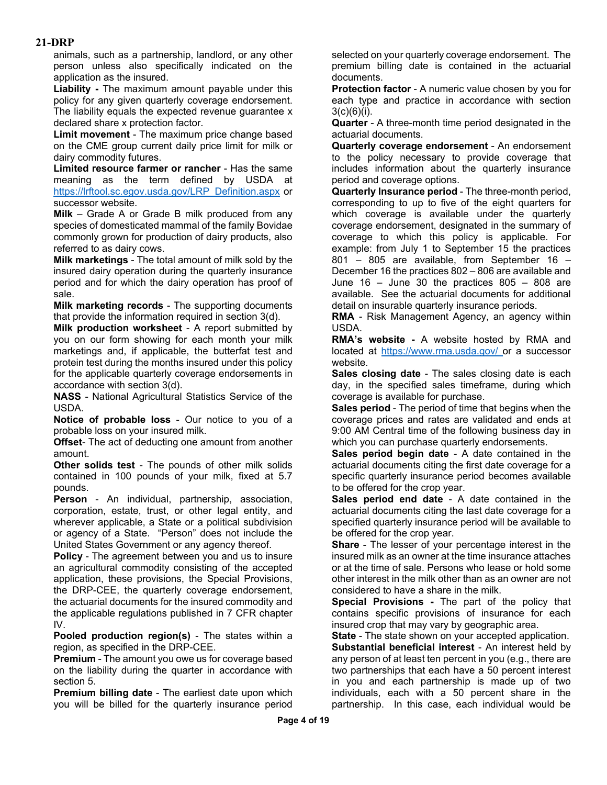animals, such as a partnership, landlord, or any other person unless also specifically indicated on the application as the insured.

**Liability -** The maximum amount payable under this policy for any given quarterly coverage endorsement. The liability equals the expected revenue guarantee x declared share x protection factor.

**Limit movement** - The maximum price change based on the CME group current daily price limit for milk or dairy commodity futures.

**Limited resource farmer or rancher** - Has the same meaning as the term defined by USDA at [https://lrftool.sc.egov.usda.gov/LRP\\_Definition.aspx](https://lrftool.sc.egov.usda.gov/LRP_Definition.aspx) or successor website.

**Milk** – Grade A or Grade B milk produced from any species of domesticated mammal of the family Bovidae commonly grown for production of dairy products, also referred to as dairy cows.

**Milk marketings** - The total amount of milk sold by the insured dairy operation during the quarterly insurance period and for which the dairy operation has proof of sale.

**Milk marketing records** - The supporting documents that provide the information required in section 3(d).

**Milk production worksheet** - A report submitted by you on our form showing for each month your milk marketings and, if applicable, the butterfat test and protein test during the months insured under this policy for the applicable quarterly coverage endorsements in accordance with section 3(d).

**NASS** - National Agricultural Statistics Service of the USDA.

**Notice of probable loss** - Our notice to you of a probable loss on your insured milk.

**Offset**- The act of deducting one amount from another amount.

**Other solids test** - The pounds of other milk solids contained in 100 pounds of your milk, fixed at 5.7 pounds.

**Person** - An individual, partnership, association, corporation, estate, trust, or other legal entity, and wherever applicable, a State or a political subdivision or agency of a State. "Person" does not include the United States Government or any agency thereof.

**Policy** - The agreement between you and us to insure an agricultural commodity consisting of the accepted application, these provisions, the Special Provisions, the DRP-CEE, the quarterly coverage endorsement, the actuarial documents for the insured commodity and the applicable regulations published in 7 CFR chapter IV.

**Pooled production region(s)** - The states within a region, as specified in the DRP-CEE.

**Premium** - The amount you owe us for coverage based on the liability during the quarter in accordance with section 5.

**Premium billing date** - The earliest date upon which you will be billed for the quarterly insurance period selected on your quarterly coverage endorsement. The premium billing date is contained in the actuarial documents.

**Protection factor** - A numeric value chosen by you for each type and practice in accordance with section  $3(c)(6)(i)$ .

**Quarter** - A three-month time period designated in the actuarial documents.

**Quarterly coverage endorsement** - An endorsement to the policy necessary to provide coverage that includes information about the quarterly insurance period and coverage options.

**Quarterly Insurance period** - The three-month period, corresponding to up to five of the eight quarters for which coverage is available under the quarterly coverage endorsement, designated in the summary of coverage to which this policy is applicable. For example: from July 1 to September 15 the practices 801 – 805 are available, from September 16 – December 16 the practices 802 – 806 are available and June  $16 -$  June 30 the practices  $805 - 808$  are available. See the actuarial documents for additional detail on insurable quarterly insurance periods.

**RMA** - Risk Management Agency, an agency within USDA.

**RMA's website -** A website hosted by RMA and located at [https://www.rma.usda.gov/ o](https://www.rma.usda.gov/)r a successor website.

**Sales closing date** - The sales closing date is each day, in the specified sales timeframe, during which coverage is available for purchase.

**Sales period** - The period of time that begins when the coverage prices and rates are validated and ends at 9:00 AM Central time of the following business day in which you can purchase quarterly endorsements.

**Sales period begin date** - A date contained in the actuarial documents citing the first date coverage for a specific quarterly insurance period becomes available to be offered for the crop year.

**Sales period end date** - A date contained in the actuarial documents citing the last date coverage for a specified quarterly insurance period will be available to be offered for the crop year.

**Share** - The lesser of your percentage interest in the insured milk as an owner at the time insurance attaches or at the time of sale. Persons who lease or hold some other interest in the milk other than as an owner are not considered to have a share in the milk.

**Special Provisions -** The part of the policy that contains specific provisions of insurance for each insured crop that may vary by geographic area.

**State** - The state shown on your accepted application. **Substantial beneficial interest** - An interest held by any person of at least ten percent in you (e.g., there are two partnerships that each have a 50 percent interest in you and each partnership is made up of two individuals, each with a 50 percent share in the partnership. In this case, each individual would be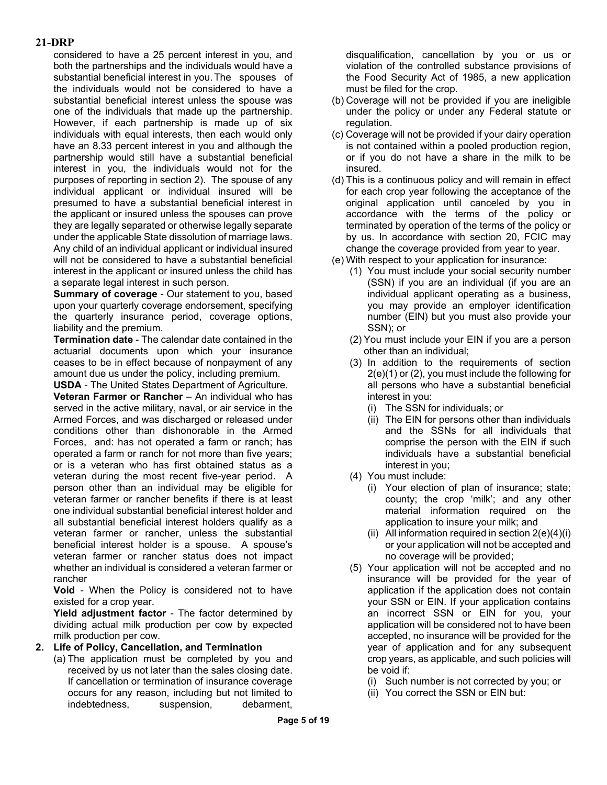considered to have a 25 percent interest in you, and both the partnerships and the individuals would have a substantial beneficial interest in you.The spouses of the individuals would not be considered to have a substantial beneficial interest unless the spouse was one of the individuals that made up the partnership. However, if each partnership is made up of six individuals with equal interests, then each would only have an 8.33 percent interest in you and although the partnership would still have a substantial beneficial interest in you, the individuals would not for the purposes of reporting in section 2). The spouse of any individual applicant or individual insured will be presumed to have a substantial beneficial interest in the applicant or insured unless the spouses can prove they are legally separated or otherwise legally separate under the applicable State dissolution of marriage laws. Any child of an individual applicant or individual insured will not be considered to have a substantial beneficial interest in the applicant or insured unless the child has a separate legal interest in such person.

**Summary of coverage** - Our statement to you, based upon your quarterly coverage endorsement, specifying the quarterly insurance period, coverage options, liability and the premium.

**Termination date** - The calendar date contained in the actuarial documents upon which your insurance ceases to be in effect because of nonpayment of any amount due us under the policy, including premium.

**USDA** - The United States Department of Agriculture.

**Veteran Farmer or Rancher** – An individual who has served in the active military, naval, or air service in the Armed Forces, and was discharged or released under conditions other than dishonorable in the Armed Forces, and: has not operated a farm or ranch; has operated a farm or ranch for not more than five years; or is a veteran who has first obtained status as a veteran during the most recent five-year period. A person other than an individual may be eligible for veteran farmer or rancher benefits if there is at least one individual substantial beneficial interest holder and all substantial beneficial interest holders qualify as a veteran farmer or rancher, unless the substantial beneficial interest holder is a spouse. A spouse's veteran farmer or rancher status does not impact whether an individual is considered a veteran farmer or rancher

**Void** - When the Policy is considered not to have existed for a crop year.

**Yield adjustment factor** - The factor determined by dividing actual milk production per cow by expected milk production per cow.

#### **2. Life of Policy, Cancellation, and Termination**

(a) The application must be completed by you and received by us not later than the sales closing date. If cancellation or termination of insurance coverage occurs for any reason, including but not limited to indebtedness, suspension, debarment, disqualification, cancellation by you or us or violation of the controlled substance provisions of the Food Security Act of 1985, a new application must be filed for the crop.

- (b) Coverage will not be provided if you are ineligible under the policy or under any Federal statute or regulation.
- (c) Coverage will not be provided if your dairy operation is not contained within a pooled production region, or if you do not have a share in the milk to be insured.
- (d) This is a continuous policy and will remain in effect for each crop year following the acceptance of the original application until canceled by you in accordance with the terms of the policy or terminated by operation of the terms of the policy or by us. In accordance with section 20, FCIC may change the coverage provided from year to year.
- (e) With respect to your application for insurance:
	- (1) You must include your social security number (SSN) if you are an individual (if you are an individual applicant operating as a business, you may provide an employer identification number (EIN) but you must also provide your SSN); or
	- (2) You must include your EIN if you are a person other than an individual;
	- (3) In addition to the requirements of section 2(e)(1) or (2), you must include the following for all persons who have a substantial beneficial interest in you:
		- (i) The SSN for individuals; or
		- (ii) The EIN for persons other than individuals and the SSNs for all individuals that comprise the person with the EIN if such individuals have a substantial beneficial interest in you;
	- (4) You must include:
		- (i) Your election of plan of insurance; state; county; the crop 'milk'; and any other material information required on the application to insure your milk; and
		- (ii) All information required in section  $2(e)(4)(i)$ or your application will not be accepted and no coverage will be provided;
	- (5) Your application will not be accepted and no insurance will be provided for the year of application if the application does not contain your SSN or EIN. If your application contains an incorrect SSN or EIN for you, your application will be considered not to have been accepted, no insurance will be provided for the year of application and for any subsequent crop years, as applicable, and such policies will be void if:
		- (i) Such number is not corrected by you; or
		- (ii) You correct the SSN or EIN but: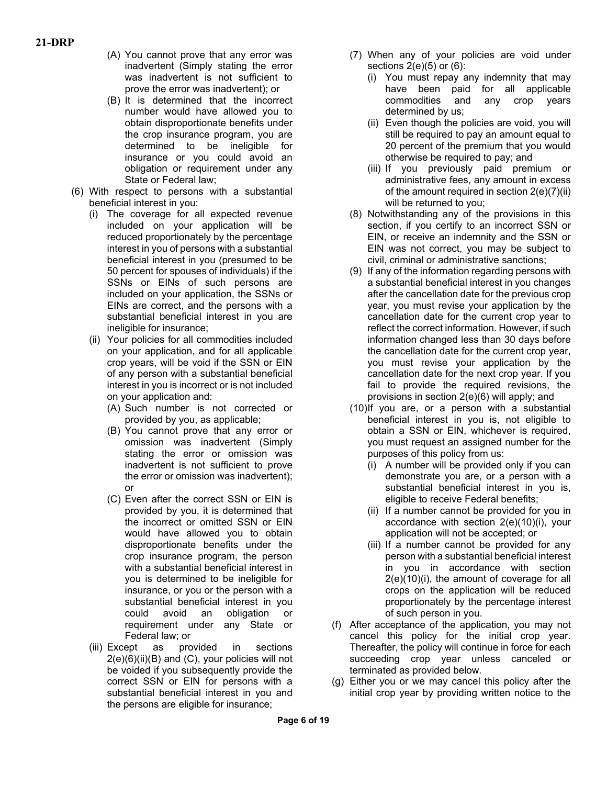- (A) You cannot prove that any error was inadvertent (Simply stating the error was inadvertent is not sufficient to prove the error was inadvertent); or
- (B) It is determined that the incorrect number would have allowed you to obtain disproportionate benefits under the crop insurance program, you are determined to be ineligible for insurance or you could avoid an obligation or requirement under any State or Federal law;
- (6) With respect to persons with a substantial beneficial interest in you:
	- (i) The coverage for all expected revenue included on your application will be reduced proportionately by the percentage interest in you of persons with a substantial beneficial interest in you (presumed to be 50 percent for spouses of individuals) if the SSNs or EINs of such persons are included on your application, the SSNs or EINs are correct, and the persons with a substantial beneficial interest in you are ineligible for insurance;
	- (ii) Your policies for all commodities included on your application, and for all applicable crop years, will be void if the SSN or EIN of any person with a substantial beneficial interest in you is incorrect or is not included on your application and:
		- (A) Such number is not corrected or provided by you, as applicable;
		- (B) You cannot prove that any error or omission was inadvertent (Simply stating the error or omission was inadvertent is not sufficient to prove the error or omission was inadvertent); or
		- (C) Even after the correct SSN or EIN is provided by you, it is determined that the incorrect or omitted SSN or EIN would have allowed you to obtain disproportionate benefits under the crop insurance program, the person with a substantial beneficial interest in you is determined to be ineligible for insurance, or you or the person with a substantial beneficial interest in you could avoid an obligation or requirement under any State or Federal law; or
	- (iii) Except as provided in sections  $2(e)(6)(ii)(B)$  and  $(C)$ , your policies will not be voided if you subsequently provide the correct SSN or EIN for persons with a substantial beneficial interest in you and the persons are eligible for insurance;
- (7) When any of your policies are void under sections  $2(e)(5)$  or  $(6)$ :
	- (i) You must repay any indemnity that may have been paid for all applicable commodities and any crop years determined by us;
	- (ii) Even though the policies are void, you will still be required to pay an amount equal to 20 percent of the premium that you would otherwise be required to pay; and
	- (iii) If you previously paid premium or administrative fees, any amount in excess of the amount required in section 2(e)(7)(ii) will be returned to you;
- (8) Notwithstanding any of the provisions in this section, if you certify to an incorrect SSN or EIN, or receive an indemnity and the SSN or EIN was not correct, you may be subject to civil, criminal or administrative sanctions;
- (9) If any of the information regarding persons with a substantial beneficial interest in you changes after the cancellation date for the previous crop year, you must revise your application by the cancellation date for the current crop year to reflect the correct information. However, if such information changed less than 30 days before the cancellation date for the current crop year, you must revise your application by the cancellation date for the next crop year. If you fail to provide the required revisions, the provisions in section 2(e)(6) will apply; and
- (10)If you are, or a person with a substantial beneficial interest in you is, not eligible to obtain a SSN or EIN, whichever is required, you must request an assigned number for the purposes of this policy from us:
	- (i) A number will be provided only if you can demonstrate you are, or a person with a substantial beneficial interest in you is, eligible to receive Federal benefits;
	- (ii) If a number cannot be provided for you in accordance with section 2(e)(10)(i), your application will not be accepted; or
	- (iii) If a number cannot be provided for any person with a substantial beneficial interest in you in accordance with section 2(e)(10)(i), the amount of coverage for all crops on the application will be reduced proportionately by the percentage interest of such person in you.
- (f) After acceptance of the application, you may not cancel this policy for the initial crop year. Thereafter, the policy will continue in force for each succeeding crop year unless canceled or terminated as provided below.
- (g) Either you or we may cancel this policy after the initial crop year by providing written notice to the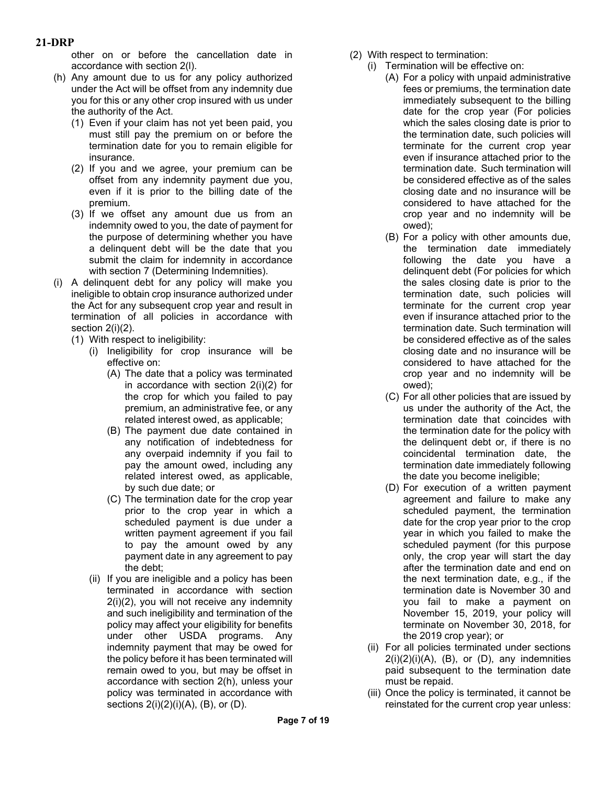other on or before the cancellation date in accordance with section 2(l).

- (h) Any amount due to us for any policy authorized under the Act will be offset from any indemnity due you for this or any other crop insured with us under the authority of the Act.
	- (1) Even if your claim has not yet been paid, you must still pay the premium on or before the termination date for you to remain eligible for insurance.
	- (2) If you and we agree, your premium can be offset from any indemnity payment due you, even if it is prior to the billing date of the premium.
	- (3) If we offset any amount due us from an indemnity owed to you, the date of payment for the purpose of determining whether you have a delinquent debt will be the date that you submit the claim for indemnity in accordance with section 7 (Determining Indemnities).
- (i) A delinquent debt for any policy will make you ineligible to obtain crop insurance authorized under the Act for any subsequent crop year and result in termination of all policies in accordance with section 2(i)(2).
	- (1) With respect to ineligibility:
		- (i) Ineligibility for crop insurance will be effective on:
			- (A) The date that a policy was terminated in accordance with section 2(i)(2) for the crop for which you failed to pay premium, an administrative fee, or any related interest owed, as applicable;
			- (B) The payment due date contained in any notification of indebtedness for any overpaid indemnity if you fail to pay the amount owed, including any related interest owed, as applicable, by such due date; or
			- (C) The termination date for the crop year prior to the crop year in which a scheduled payment is due under a written payment agreement if you fail to pay the amount owed by any payment date in any agreement to pay the debt;
		- (ii) If you are ineligible and a policy has been terminated in accordance with section 2(i)(2), you will not receive any indemnity and such ineligibility and termination of the policy may affect your eligibility for benefits under other USDA programs. Any indemnity payment that may be owed for the policy before it has been terminated will remain owed to you, but may be offset in accordance with section 2(h), unless your policy was terminated in accordance with sections  $2(i)(2)(i)(A)$ ,  $(B)$ , or  $(D)$ .
- (2) With respect to termination:
	- (i) Termination will be effective on:
		- (A) For a policy with unpaid administrative fees or premiums, the termination date immediately subsequent to the billing date for the crop year (For policies which the sales closing date is prior to the termination date, such policies will terminate for the current crop year even if insurance attached prior to the termination date. Such termination will be considered effective as of the sales closing date and no insurance will be considered to have attached for the crop year and no indemnity will be owed);
		- (B) For a policy with other amounts due, the termination date immediately following the date you have a delinquent debt (For policies for which the sales closing date is prior to the termination date, such policies will terminate for the current crop year even if insurance attached prior to the termination date. Such termination will be considered effective as of the sales closing date and no insurance will be considered to have attached for the crop year and no indemnity will be owed);
		- (C) For all other policies that are issued by us under the authority of the Act, the termination date that coincides with the termination date for the policy with the delinquent debt or, if there is no coincidental termination date, the termination date immediately following the date you become ineligible;
		- (D) For execution of a written payment agreement and failure to make any scheduled payment, the termination date for the crop year prior to the crop year in which you failed to make the scheduled payment (for this purpose only, the crop year will start the day after the termination date and end on the next termination date, e.g., if the termination date is November 30 and you fail to make a payment on November 15, 2019, your policy will terminate on November 30, 2018, for the 2019 crop year); or
	- (ii) For all policies terminated under sections  $2(i)(2)(i)(A)$ ,  $(B)$ , or  $(D)$ , any indemnities paid subsequent to the termination date must be repaid.
	- (iii) Once the policy is terminated, it cannot be reinstated for the current crop year unless: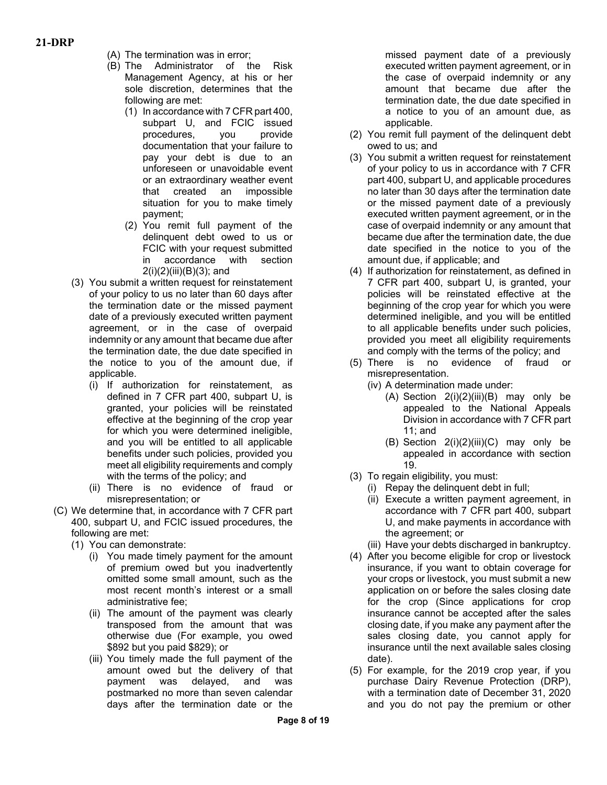- (A) The termination was in error;
- (B) The Administrator of the Risk Management Agency, at his or her sole discretion, determines that the following are met:
	- (1) In accordance with 7 CFR part 400, subpart U, and FCIC issued procedures, you provide documentation that your failure to pay your debt is due to an unforeseen or unavoidable event or an extraordinary weather event that created an impossible situation for you to make timely payment;
	- (2) You remit full payment of the delinquent debt owed to us or FCIC with your request submitted in accordance with section 2(i)(2)(iii)(B)(3); and
- (3) You submit a written request for reinstatement of your policy to us no later than 60 days after the termination date or the missed payment date of a previously executed written payment agreement, or in the case of overpaid indemnity or any amount that became due after the termination date, the due date specified in the notice to you of the amount due, if applicable.
	- (i) If authorization for reinstatement, as defined in 7 CFR part 400, subpart U, is granted, your policies will be reinstated effective at the beginning of the crop year for which you were determined ineligible, and you will be entitled to all applicable benefits under such policies, provided you meet all eligibility requirements and comply with the terms of the policy; and
	- (ii) There is no evidence of fraud or misrepresentation; or
- (C) We determine that, in accordance with 7 CFR part 400, subpart U, and FCIC issued procedures, the following are met:
	- (1) You can demonstrate:
		- (i) You made timely payment for the amount of premium owed but you inadvertently omitted some small amount, such as the most recent month's interest or a small administrative fee;
		- (ii) The amount of the payment was clearly transposed from the amount that was otherwise due (For example, you owed \$892 but you paid \$829); or
		- (iii) You timely made the full payment of the amount owed but the delivery of that payment was delayed, and was postmarked no more than seven calendar days after the termination date or the

missed payment date of a previously executed written payment agreement, or in the case of overpaid indemnity or any amount that became due after the termination date, the due date specified in a notice to you of an amount due, as applicable.

- (2) You remit full payment of the delinquent debt owed to us; and
- (3) You submit a written request for reinstatement of your policy to us in accordance with 7 CFR part 400, subpart U, and applicable procedures no later than 30 days after the termination date or the missed payment date of a previously executed written payment agreement, or in the case of overpaid indemnity or any amount that became due after the termination date, the due date specified in the notice to you of the amount due, if applicable; and
- (4) If authorization for reinstatement, as defined in 7 CFR part 400, subpart U, is granted, your policies will be reinstated effective at the beginning of the crop year for which you were determined ineligible, and you will be entitled to all applicable benefits under such policies, provided you meet all eligibility requirements and comply with the terms of the policy; and
- (5) There is no evidence of fraud or misrepresentation.
	- (iv) A determination made under:
		- (A) Section  $2(i)(2)(iii)(B)$  may only be appealed to the National Appeals Division in accordance with 7 CFR part 11; and
		- (B) Section  $2(i)(2)(iii)(C)$  may only be appealed in accordance with section 19.
- (3) To regain eligibility, you must:
	- (i) Repay the delinquent debt in full;
	- (ii) Execute a written payment agreement, in accordance with 7 CFR part 400, subpart U, and make payments in accordance with the agreement; or
	- (iii) Have your debts discharged in bankruptcy.
- (4) After you become eligible for crop or livestock insurance, if you want to obtain coverage for your crops or livestock, you must submit a new application on or before the sales closing date for the crop (Since applications for crop insurance cannot be accepted after the sales closing date, if you make any payment after the sales closing date, you cannot apply for insurance until the next available sales closing date).
- (5) For example, for the 2019 crop year, if you purchase Dairy Revenue Protection (DRP), with a termination date of December 31, 2020 and you do not pay the premium or other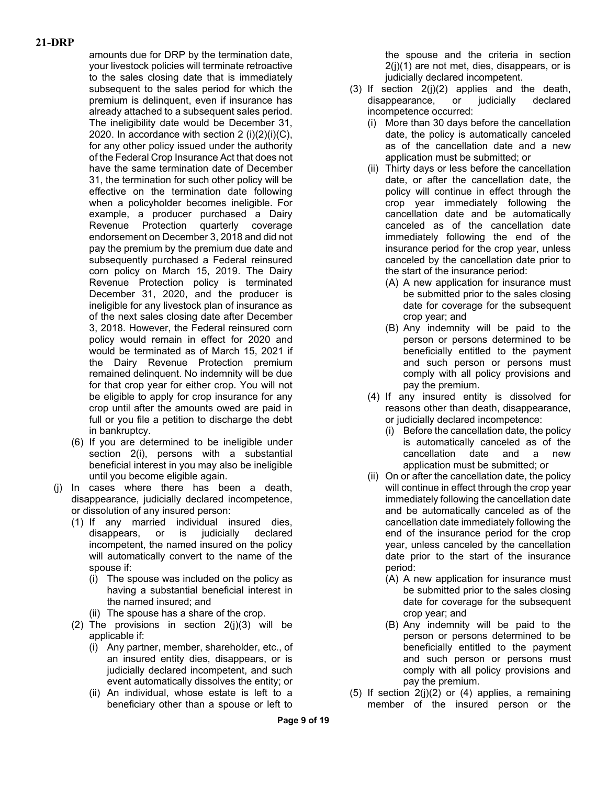amounts due for DRP by the termination date, your livestock policies will terminate retroactive to the sales closing date that is immediately subsequent to the sales period for which the premium is delinquent, even if insurance has already attached to a subsequent sales period. The ineligibility date would be December 31, 2020. In accordance with section  $2 \text{ (i)}(2)(i)(C)$ , for any other policy issued under the authority of the Federal Crop Insurance Act that does not have the same termination date of December 31, the termination for such other policy will be effective on the termination date following when a policyholder becomes ineligible. For example, a producer purchased a Dairy Revenue Protection quarterly coverage endorsement on December 3, 2018 and did not pay the premium by the premium due date and subsequently purchased a Federal reinsured corn policy on March 15, 2019. The Dairy Revenue Protection policy is terminated December 31, 2020, and the producer is ineligible for any livestock plan of insurance as of the next sales closing date after December 3, 2018. However, the Federal reinsured corn policy would remain in effect for 2020 and would be terminated as of March 15, 2021 if the Dairy Revenue Protection premium remained delinquent. No indemnity will be due for that crop year for either crop. You will not be eligible to apply for crop insurance for any crop until after the amounts owed are paid in full or you file a petition to discharge the debt in bankruptcy.

- (6) If you are determined to be ineligible under section 2(i), persons with a substantial beneficial interest in you may also be ineligible until you become eligible again.
- (j) In cases where there has been a death, disappearance, judicially declared incompetence, or dissolution of any insured person:
	- (1) If any married individual insured dies, disappears, or is judicially declared incompetent, the named insured on the policy will automatically convert to the name of the spouse if:
		- (i) The spouse was included on the policy as having a substantial beneficial interest in the named insured; and
		- (ii) The spouse has a share of the crop.
	- (2) The provisions in section  $2(i)(3)$  will be applicable if:
		- (i) Any partner, member, shareholder, etc., of an insured entity dies, disappears, or is judicially declared incompetent, and such event automatically dissolves the entity; or
		- (ii) An individual, whose estate is left to a beneficiary other than a spouse or left to

the spouse and the criteria in section 2(j)(1) are not met, dies, disappears, or is judicially declared incompetent.

- $(3)$  If section  $2(j)(2)$  applies and the death, disappearance, or judicially declared incompetence occurred:
	- (i) More than 30 days before the cancellation date, the policy is automatically canceled as of the cancellation date and a new application must be submitted; or
	- (ii) Thirty days or less before the cancellation date, or after the cancellation date, the policy will continue in effect through the crop year immediately following the cancellation date and be automatically canceled as of the cancellation date immediately following the end of the insurance period for the crop year, unless canceled by the cancellation date prior to the start of the insurance period:
		- (A) A new application for insurance must be submitted prior to the sales closing date for coverage for the subsequent crop year; and
		- (B) Any indemnity will be paid to the person or persons determined to be beneficially entitled to the payment and such person or persons must comply with all policy provisions and pay the premium.
	- (4) If any insured entity is dissolved for reasons other than death, disappearance, or judicially declared incompetence:
		- (i) Before the cancellation date, the policy is automatically canceled as of the cancellation date and a new application must be submitted; or
	- (ii) On or after the cancellation date, the policy will continue in effect through the crop year immediately following the cancellation date and be automatically canceled as of the cancellation date immediately following the end of the insurance period for the crop year, unless canceled by the cancellation date prior to the start of the insurance period:
		- (A) A new application for insurance must be submitted prior to the sales closing date for coverage for the subsequent crop year; and
		- (B) Any indemnity will be paid to the person or persons determined to be beneficially entitled to the payment and such person or persons must comply with all policy provisions and pay the premium.
- (5) If section  $2(j)(2)$  or (4) applies, a remaining member of the insured person or the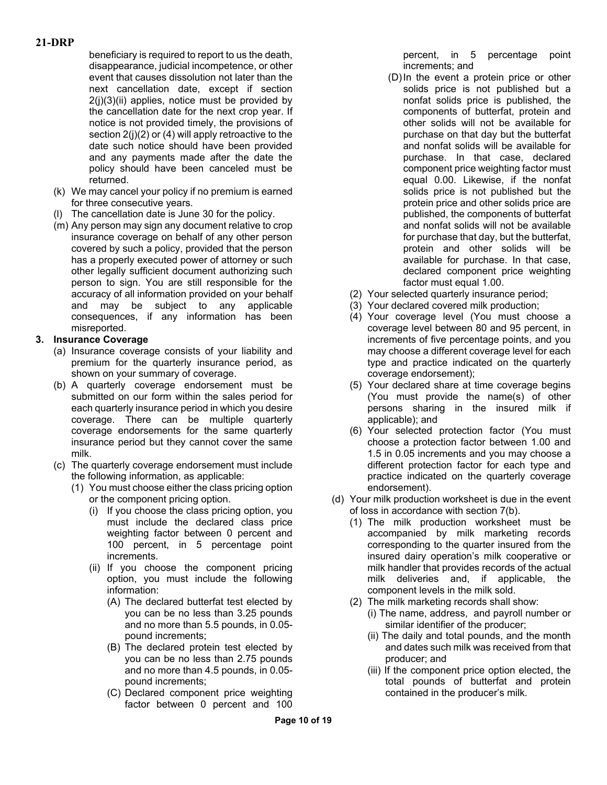beneficiary is required to report to us the death, disappearance, judicial incompetence, or other event that causes dissolution not later than the next cancellation date, except if section  $2(i)(3)(ii)$  applies, notice must be provided by the cancellation date for the next crop year. If notice is not provided timely, the provisions of section 2(j)(2) or (4) will apply retroactive to the date such notice should have been provided and any payments made after the date the policy should have been canceled must be returned.

- (k) We may cancel your policy if no premium is earned for three consecutive years.
- (l) The cancellation date is June 30 for the policy.
- (m) Any person may sign any document relative to crop insurance coverage on behalf of any other person covered by such a policy, provided that the person has a properly executed power of attorney or such other legally sufficient document authorizing such person to sign. You are still responsible for the accuracy of all information provided on your behalf and may be subject to any applicable consequences, if any information has been misreported.

## **3. Insurance Coverage**

- (a) Insurance coverage consists of your liability and premium for the quarterly insurance period, as shown on your summary of coverage.
- (b) A quarterly coverage endorsement must be submitted on our form within the sales period for each quarterly insurance period in which you desire coverage. There can be multiple quarterly coverage endorsements for the same quarterly insurance period but they cannot cover the same milk.
- (c) The quarterly coverage endorsement must include the following information, as applicable:
	- (1) You must choose either the class pricing option or the component pricing option.
		- (i) If you choose the class pricing option, you must include the declared class price weighting factor between 0 percent and 100 percent, in 5 percentage point increments.
		- (ii) If you choose the component pricing option, you must include the following information:
			- (A) The declared butterfat test elected by you can be no less than 3.25 pounds and no more than 5.5 pounds, in 0.05 pound increments;
			- (B) The declared protein test elected by you can be no less than 2.75 pounds and no more than 4.5 pounds, in 0.05 pound increments;
			- (C) Declared component price weighting factor between 0 percent and 100

percent, in 5 percentage point increments; and

- (D)In the event a protein price or other solids price is not published but a nonfat solids price is published, the components of butterfat, protein and other solids will not be available for purchase on that day but the butterfat and nonfat solids will be available for purchase. In that case, declared component price weighting factor must equal 0.00. Likewise, if the nonfat solids price is not published but the protein price and other solids price are published, the components of butterfat and nonfat solids will not be available for purchase that day, but the butterfat, protein and other solids will be available for purchase. In that case, declared component price weighting factor must equal 1.00.
- (2) Your selected quarterly insurance period;
- (3) Your declared covered milk production;
- (4) Your coverage level (You must choose a coverage level between 80 and 95 percent, in increments of five percentage points, and you may choose a different coverage level for each type and practice indicated on the quarterly coverage endorsement);
- (5) Your declared share at time coverage begins (You must provide the name(s) of other persons sharing in the insured milk if applicable); and
- (6) Your selected protection factor (You must choose a protection factor between 1.00 and 1.5 in 0.05 increments and you may choose a different protection factor for each type and practice indicated on the quarterly coverage endorsement).
- (d) Your milk production worksheet is due in the event of loss in accordance with section 7(b).
	- (1) The milk production worksheet must be accompanied by milk marketing records corresponding to the quarter insured from the insured dairy operation's milk cooperative or milk handler that provides records of the actual milk deliveries and, if applicable, the component levels in the milk sold.
	- (2) The milk marketing records shall show:
		- (i) The name, address, and payroll number or similar identifier of the producer;
		- (ii) The daily and total pounds, and the month and dates such milk was received from that producer; and
		- (iii) If the component price option elected, the total pounds of butterfat and protein contained in the producer's milk.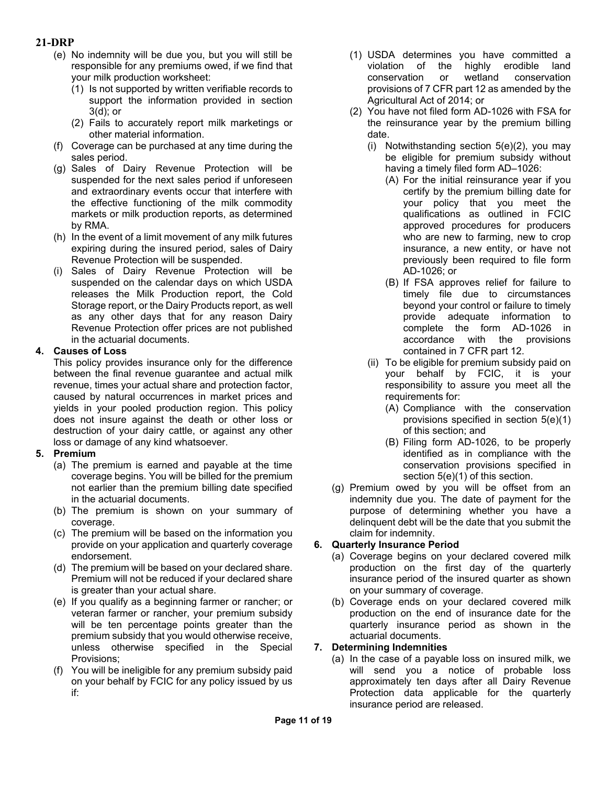- (e) No indemnity will be due you, but you will still be responsible for any premiums owed, if we find that your milk production worksheet:
	- (1) Is not supported by written verifiable records to support the information provided in section 3(d); or
	- (2) Fails to accurately report milk marketings or other material information.
- (f) Coverage can be purchased at any time during the sales period.
- (g) Sales of Dairy Revenue Protection will be suspended for the next sales period if unforeseen and extraordinary events occur that interfere with the effective functioning of the milk commodity markets or milk production reports, as determined by RMA.
- (h) In the event of a limit movement of any milk futures expiring during the insured period, sales of Dairy Revenue Protection will be suspended.
- (i) Sales of Dairy Revenue Protection will be suspended on the calendar days on which USDA releases the Milk Production report, the Cold Storage report, or the Dairy Products report, as well as any other days that for any reason Dairy Revenue Protection offer prices are not published in the actuarial documents.

## **4. Causes of Loss**

This policy provides insurance only for the difference between the final revenue guarantee and actual milk revenue, times your actual share and protection factor, caused by natural occurrences in market prices and yields in your pooled production region. This policy does not insure against the death or other loss or destruction of your dairy cattle, or against any other loss or damage of any kind whatsoever.

#### **5. Premium**

- (a) The premium is earned and payable at the time coverage begins. You will be billed for the premium not earlier than the premium billing date specified in the actuarial documents.
- (b) The premium is shown on your summary of coverage.
- (c) The premium will be based on the information you provide on your application and quarterly coverage endorsement.
- (d) The premium will be based on your declared share. Premium will not be reduced if your declared share is greater than your actual share.
- (e) If you qualify as a beginning farmer or rancher; or veteran farmer or rancher, your premium subsidy will be ten percentage points greater than the premium subsidy that you would otherwise receive, unless otherwise specified in the Special Provisions;
- (f) You will be ineligible for any premium subsidy paid on your behalf by FCIC for any policy issued by us if:
- (1) USDA determines you have committed a violation of the highly erodible land conservation or wetland conservation provisions of 7 CFR part 12 as amended by the Agricultural Act of 2014; or
- (2) You have not filed form AD-1026 with FSA for the reinsurance year by the premium billing date.
	- (i) Notwithstanding section 5(e)(2), you may be eligible for premium subsidy without having a timely filed form AD–1026:
		- (A) For the initial reinsurance year if you certify by the premium billing date for your policy that you meet the qualifications as outlined in FCIC approved procedures for producers who are new to farming, new to crop insurance, a new entity, or have not previously been required to file form AD-1026; or
		- (B) If FSA approves relief for failure to timely file due to circumstances beyond your control or failure to timely provide adequate information to complete the form AD-1026 in accordance with the provisions contained in 7 CFR part 12.
	- (ii) To be eligible for premium subsidy paid on your behalf by FCIC, it is your responsibility to assure you meet all the requirements for:
		- (A) Compliance with the conservation provisions specified in section 5(e)(1) of this section; and
		- (B) Filing form AD-1026, to be properly identified as in compliance with the conservation provisions specified in section 5(e)(1) of this section.
- (g) Premium owed by you will be offset from an indemnity due you. The date of payment for the purpose of determining whether you have a delinquent debt will be the date that you submit the claim for indemnity.

# **6. Quarterly Insurance Period**

- (a) Coverage begins on your declared covered milk production on the first day of the quarterly insurance period of the insured quarter as shown on your summary of coverage.
- (b) Coverage ends on your declared covered milk production on the end of insurance date for the quarterly insurance period as shown in the actuarial documents.

# **7. Determining Indemnities**

(a) In the case of a payable loss on insured milk, we will send you a notice of probable loss approximately ten days after all Dairy Revenue Protection data applicable for the quarterly insurance period are released.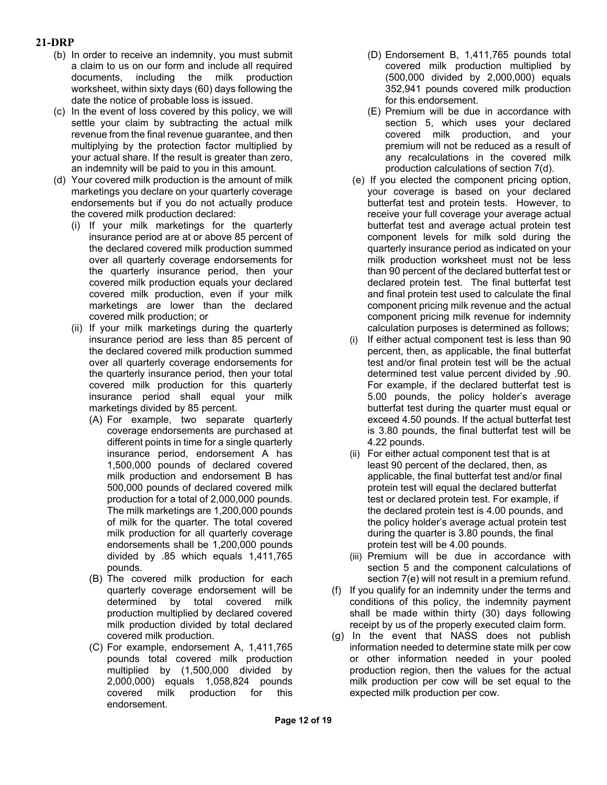- (b) In order to receive an indemnity, you must submit a claim to us on our form and include all required documents, including the milk production worksheet, within sixty days (60) days following the date the notice of probable loss is issued.
- (c) In the event of loss covered by this policy, we will settle your claim by subtracting the actual milk revenue from the final revenue guarantee, and then multiplying by the protection factor multiplied by your actual share. If the result is greater than zero, an indemnity will be paid to you in this amount.
- (d) Your covered milk production is the amount of milk marketings you declare on your quarterly coverage endorsements but if you do not actually produce the covered milk production declared:
	- (i) If your milk marketings for the quarterly insurance period are at or above 85 percent of the declared covered milk production summed over all quarterly coverage endorsements for the quarterly insurance period, then your covered milk production equals your declared covered milk production, even if your milk marketings are lower than the declared covered milk production; or
	- (ii) If your milk marketings during the quarterly insurance period are less than 85 percent of the declared covered milk production summed over all quarterly coverage endorsements for the quarterly insurance period, then your total covered milk production for this quarterly insurance period shall equal your milk marketings divided by 85 percent.
		- (A) For example, two separate quarterly coverage endorsements are purchased at different points in time for a single quarterly insurance period, endorsement A has 1,500,000 pounds of declared covered milk production and endorsement B has 500,000 pounds of declared covered milk production for a total of 2,000,000 pounds. The milk marketings are 1,200,000 pounds of milk for the quarter. The total covered milk production for all quarterly coverage endorsements shall be 1,200,000 pounds divided by .85 which equals 1,411,765 pounds.
		- (B) The covered milk production for each quarterly coverage endorsement will be determined by total covered milk production multiplied by declared covered milk production divided by total declared covered milk production.
		- (C) For example, endorsement A, 1,411,765 pounds total covered milk production multiplied by (1,500,000 divided by 2,000,000) equals 1,058,824 pounds covered milk production for this endorsement.
- (D) Endorsement B, 1,411,765 pounds total covered milk production multiplied by (500,000 divided by 2,000,000) equals 352,941 pounds covered milk production for this endorsement.
- (E) Premium will be due in accordance with section 5, which uses your declared covered milk production, and your premium will not be reduced as a result of any recalculations in the covered milk production calculations of section 7(d).
- (e) If you elected the component pricing option, your coverage is based on your declared butterfat test and protein tests. However, to receive your full coverage your average actual butterfat test and average actual protein test component levels for milk sold during the quarterly insurance period as indicated on your milk production worksheet must not be less than 90 percent of the declared butterfat test or declared protein test. The final butterfat test and final protein test used to calculate the final component pricing milk revenue and the actual component pricing milk revenue for indemnity calculation purposes is determined as follows;
- (i) If either actual component test is less than 90 percent, then, as applicable, the final butterfat test and/or final protein test will be the actual determined test value percent divided by .90. For example, if the declared butterfat test is 5.00 pounds, the policy holder's average butterfat test during the quarter must equal or exceed 4.50 pounds. If the actual butterfat test is 3.80 pounds, the final butterfat test will be 4.22 pounds.
- (ii) For either actual component test that is at least 90 percent of the declared, then, as applicable, the final butterfat test and/or final protein test will equal the declared butterfat test or declared protein test. For example, if the declared protein test is 4.00 pounds, and the policy holder's average actual protein test during the quarter is 3.80 pounds, the final protein test will be 4.00 pounds.
- (iii) Premium will be due in accordance with section 5 and the component calculations of section 7(e) will not result in a premium refund.
- (f) If you qualify for an indemnity under the terms and conditions of this policy, the indemnity payment shall be made within thirty (30) days following receipt by us of the properly executed claim form.
- (g) In the event that NASS does not publish information needed to determine state milk per cow or other information needed in your pooled production region, then the values for the actual milk production per cow will be set equal to the expected milk production per cow.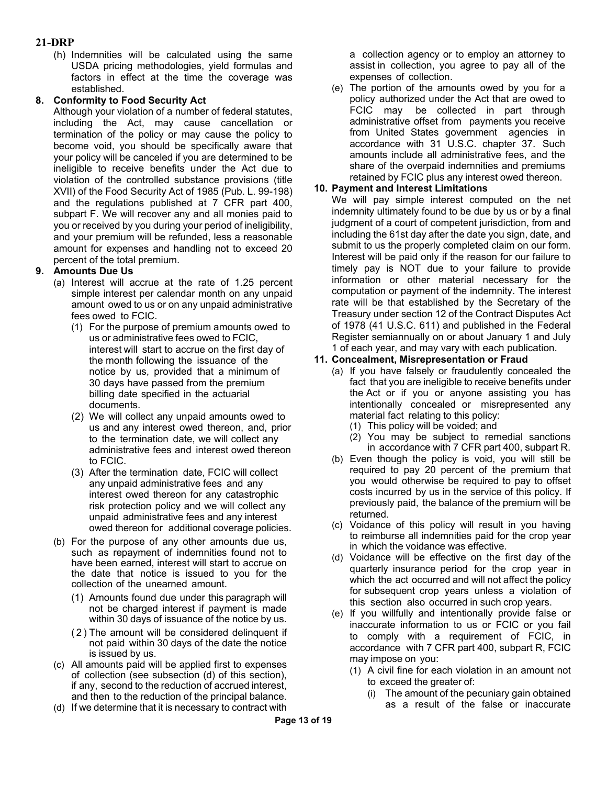(h) Indemnities will be calculated using the same USDA pricing methodologies, yield formulas and factors in effect at the time the coverage was established.

## **8. Conformity to Food Security Act**

Although your violation of a number of federal statutes, including the Act, may cause cancellation or termination of the policy or may cause the policy to become void, you should be specifically aware that your policy will be canceled if you are determined to be ineligible to receive benefits under the Act due to violation of the controlled substance provisions (title XVII) of the Food Security Act of 1985 (Pub. L. 99-198) and the regulations published at 7 CFR part 400, subpart F. We will recover any and all monies paid to you or received by you during your period of ineligibility, and your premium will be refunded, less a reasonable amount for expenses and handling not to exceed 20 percent of the total premium.

# **9. Amounts Due Us**

- (a) Interest will accrue at the rate of 1.25 percent simple interest per calendar month on any unpaid amount owed to us or on any unpaid administrative fees owed to FCIC.
	- (1) For the purpose of premium amounts owed to us or administrative fees owed to FCIC, interest will start to accrue on the first day of the month following the issuance of the notice by us, provided that a minimum of 30 days have passed from the premium billing date specified in the actuarial documents.
	- (2) We will collect any unpaid amounts owed to us and any interest owed thereon, and, prior to the termination date, we will collect any administrative fees and interest owed thereon to FCIC.
	- (3) After the termination date, FCIC will collect any unpaid administrative fees and any interest owed thereon for any catastrophic risk protection policy and we will collect any unpaid administrative fees and any interest owed thereon for additional coverage policies.
- (b) For the purpose of any other amounts due us, such as repayment of indemnities found not to have been earned, interest will start to accrue on the date that notice is issued to you for the collection of the unearned amount.
	- (1) Amounts found due under this paragraph will not be charged interest if payment is made within 30 days of issuance of the notice by us.
	- ( 2 ) The amount will be considered delinquent if not paid within 30 days of the date the notice is issued by us.
- (c) All amounts paid will be applied first to expenses of collection (see subsection (d) of this section), if any, second to the reduction of accrued interest, and then to the reduction of the principal balance.
- (d) If we determine that it is necessary to contract with

a collection agency or to employ an attorney to assist in collection, you agree to pay all of the expenses of collection.

(e) The portion of the amounts owed by you for a policy authorized under the Act that are owed to FCIC may be collected in part through administrative offset from payments you receive from United States government agencies in accordance with 31 U.S.C. chapter 37. Such amounts include all administrative fees, and the share of the overpaid indemnities and premiums retained by FCIC plus any interest owed thereon.

## **10. Payment and Interest Limitations**

We will pay simple interest computed on the net indemnity ultimately found to be due by us or by a final judgment of a court of competent jurisdiction, from and including the 61st day after the date you sign, date, and submit to us the properly completed claim on our form. Interest will be paid only if the reason for our failure to timely pay is NOT due to your failure to provide information or other material necessary for the computation or payment of the indemnity. The interest rate will be that established by the Secretary of the Treasury under section 12 of the Contract Disputes Act of 1978 (41 U.S.C. 611) and published in the Federal Register semiannually on or about January 1 and July 1 of each year, and may vary with each publication.

#### **11. Concealment, Misrepresentation or Fraud**

- (a) If you have falsely or fraudulently concealed the fact that you are ineligible to receive benefits under the Act or if you or anyone assisting you has intentionally concealed or misrepresented any material fact relating to this policy:
	- (1) This policy will be voided; and
	- (2) You may be subject to remedial sanctions in accordance with 7 CFR part 400, subpart R.
- (b) Even though the policy is void, you will still be required to pay 20 percent of the premium that you would otherwise be required to pay to offset costs incurred by us in the service of this policy. If previously paid, the balance of the premium will be returned.
- (c) Voidance of this policy will result in you having to reimburse all indemnities paid for the crop year in which the voidance was effective.
- (d) Voidance will be effective on the first day of the quarterly insurance period for the crop year in which the act occurred and will not affect the policy for subsequent crop years unless a violation of this section also occurred in such crop years.
- (e) If you willfully and intentionally provide false or inaccurate information to us or FCIC or you fail to comply with a requirement of FCIC, in accordance with 7 CFR part 400, subpart R, FCIC may impose on you:
	- (1) A civil fine for each violation in an amount not to exceed the greater of:
		- (i) The amount of the pecuniary gain obtained as a result of the false or inaccurate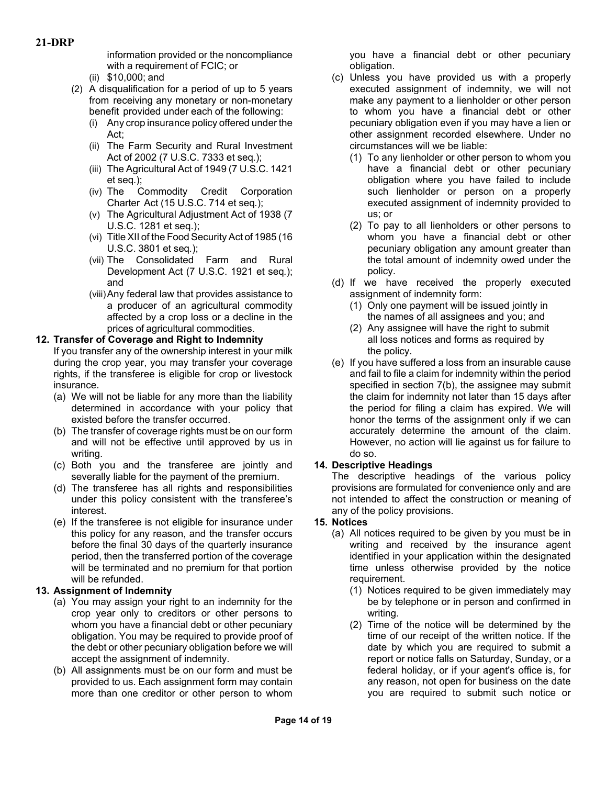information provided or the noncompliance with a requirement of FCIC; or

- (ii) \$10,000; and
- (2) A disqualification for a period of up to 5 years from receiving any monetary or non-monetary benefit provided under each of the following:
	- (i) Any crop insurance policy offered under the Act;
	- (ii) The Farm Security and Rural Investment Act of 2002 (7 U.S.C. 7333 et seq*.*);
	- (iii) The Agricultural Act of 1949 (7 U.S.C. 1421 et seq*.*);
	- (iv) The Commodity Credit Corporation Charter Act (15 U.S.C. 714 et seq*.*);
	- (v) The Agricultural Adjustment Act of 1938 (7 U.S.C. 1281 et seq.);
	- (vi) Title XII of the Food Security Act of 1985 (16 U.S.C. 3801 et seq*.*);
	- (vii) The Consolidated Farm and Rural Development Act (7 U.S.C. 1921 et seq*.*); and
	- (viii)Any federal law that provides assistance to a producer of an agricultural commodity affected by a crop loss or a decline in the prices of agricultural commodities.

#### **12. Transfer of Coverage and Right to Indemnity**

If you transfer any of the ownership interest in your milk during the crop year, you may transfer your coverage rights, if the transferee is eligible for crop or livestock insurance.

- (a) We will not be liable for any more than the liability determined in accordance with your policy that existed before the transfer occurred.
- (b) The transfer of coverage rights must be on our form and will not be effective until approved by us in writing.
- (c) Both you and the transferee are jointly and severally liable for the payment of the premium.
- (d) The transferee has all rights and responsibilities under this policy consistent with the transferee's interest.
- (e) If the transferee is not eligible for insurance under this policy for any reason, and the transfer occurs before the final 30 days of the quarterly insurance period, then the transferred portion of the coverage will be terminated and no premium for that portion will be refunded.

#### **13. Assignment of Indemnity**

- (a) You may assign your right to an indemnity for the crop year only to creditors or other persons to whom you have a financial debt or other pecuniary obligation. You may be required to provide proof of the debt or other pecuniary obligation before we will accept the assignment of indemnity.
- (b) All assignments must be on our form and must be provided to us. Each assignment form may contain more than one creditor or other person to whom

you have a financial debt or other pecuniary obligation.

- (c) Unless you have provided us with a properly executed assignment of indemnity, we will not make any payment to a lienholder or other person to whom you have a financial debt or other pecuniary obligation even if you may have a lien or other assignment recorded elsewhere. Under no circumstances will we be liable:
	- (1) To any lienholder or other person to whom you have a financial debt or other pecuniary obligation where you have failed to include such lienholder or person on a properly executed assignment of indemnity provided to us; or
	- (2) To pay to all lienholders or other persons to whom you have a financial debt or other pecuniary obligation any amount greater than the total amount of indemnity owed under the policy.
- (d) If we have received the properly executed assignment of indemnity form:
	- (1) Only one payment will be issued jointly in the names of all assignees and you; and
	- (2) Any assignee will have the right to submit all loss notices and forms as required by the policy.
- (e) If you have suffered a loss from an insurable cause and fail to file a claim for indemnity within the period specified in section 7(b), the assignee may submit the claim for indemnity not later than 15 days after the period for filing a claim has expired. We will honor the terms of the assignment only if we can accurately determine the amount of the claim. However, no action will lie against us for failure to do so.

# **14. Descriptive Headings**

The descriptive headings of the various policy provisions are formulated for convenience only and are not intended to affect the construction or meaning of any of the policy provisions.

# **15. Notices**

- (a) All notices required to be given by you must be in writing and received by the insurance agent identified in your application within the designated time unless otherwise provided by the notice requirement.
	- (1) Notices required to be given immediately may be by telephone or in person and confirmed in writing.
	- (2) Time of the notice will be determined by the time of our receipt of the written notice. If the date by which you are required to submit a report or notice falls on Saturday, Sunday, or a federal holiday, or if your agent's office is, for any reason, not open for business on the date you are required to submit such notice or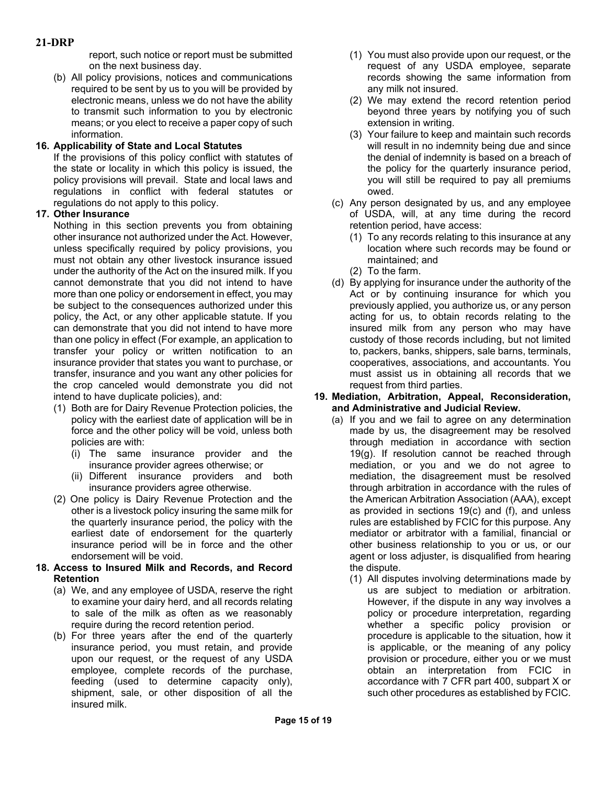report, such notice or report must be submitted on the next business day.

(b) All policy provisions, notices and communications required to be sent by us to you will be provided by electronic means, unless we do not have the ability to transmit such information to you by electronic means; or you elect to receive a paper copy of such information.

# **16. Applicability of State and Local Statutes**

If the provisions of this policy conflict with statutes of the state or locality in which this policy is issued, the policy provisions will prevail. State and local laws and regulations in conflict with federal statutes or regulations do not apply to this policy.

## **17. Other Insurance**

Nothing in this section prevents you from obtaining other insurance not authorized under the Act. However, unless specifically required by policy provisions, you must not obtain any other livestock insurance issued under the authority of the Act on the insured milk. If you cannot demonstrate that you did not intend to have more than one policy or endorsement in effect, you may be subject to the consequences authorized under this policy, the Act, or any other applicable statute. If you can demonstrate that you did not intend to have more than one policy in effect (For example, an application to transfer your policy or written notification to an insurance provider that states you want to purchase, or transfer, insurance and you want any other policies for the crop canceled would demonstrate you did not intend to have duplicate policies), and:

- (1) Both are for Dairy Revenue Protection policies, the policy with the earliest date of application will be in force and the other policy will be void, unless both policies are with:
	- (i) The same insurance provider and the insurance provider agrees otherwise; or
	- (ii) Different insurance providers and both insurance providers agree otherwise.
- (2) One policy is Dairy Revenue Protection and the other is a livestock policy insuring the same milk for the quarterly insurance period, the policy with the earliest date of endorsement for the quarterly insurance period will be in force and the other endorsement will be void.

#### **18. Access to Insured Milk and Records, and Record Retention**

- (a) We, and any employee of USDA, reserve the right to examine your dairy herd, and all records relating to sale of the milk as often as we reasonably require during the record retention period.
- (b) For three years after the end of the quarterly insurance period, you must retain, and provide upon our request, or the request of any USDA employee, complete records of the purchase, feeding (used to determine capacity only), shipment, sale, or other disposition of all the insured milk.
- (1) You must also provide upon our request, or the request of any USDA employee, separate records showing the same information from any milk not insured.
- (2) We may extend the record retention period beyond three years by notifying you of such extension in writing.
- (3) Your failure to keep and maintain such records will result in no indemnity being due and since the denial of indemnity is based on a breach of the policy for the quarterly insurance period, you will still be required to pay all premiums owed.
- (c) Any person designated by us, and any employee of USDA, will, at any time during the record retention period, have access:
	- (1) To any records relating to this insurance at any location where such records may be found or maintained; and
	- (2) To the farm.
- (d) By applying for insurance under the authority of the Act or by continuing insurance for which you previously applied, you authorize us, or any person acting for us, to obtain records relating to the insured milk from any person who may have custody of those records including, but not limited to, packers, banks, shippers, sale barns, terminals, cooperatives, associations, and accountants. You must assist us in obtaining all records that we request from third parties.

#### **19. Mediation, Arbitration, Appeal, Reconsideration, and Administrative and Judicial Review.**

- (a) If you and we fail to agree on any determination made by us, the disagreement may be resolved through mediation in accordance with section 19(g). If resolution cannot be reached through mediation, or you and we do not agree to mediation, the disagreement must be resolved through arbitration in accordance with the rules of the American Arbitration Association (AAA), except as provided in sections 19(c) and (f), and unless rules are established by FCIC for this purpose. Any mediator or arbitrator with a familial, financial or other business relationship to you or us, or our agent or loss adjuster, is disqualified from hearing the dispute.
	- (1) All disputes involving determinations made by us are subject to mediation or arbitration. However, if the dispute in any way involves a policy or procedure interpretation, regarding whether a specific policy provision or procedure is applicable to the situation, how it is applicable, or the meaning of any policy provision or procedure, either you or we must obtain an interpretation from FCIC in accordance with 7 CFR part 400, subpart X or such other procedures as established by FCIC.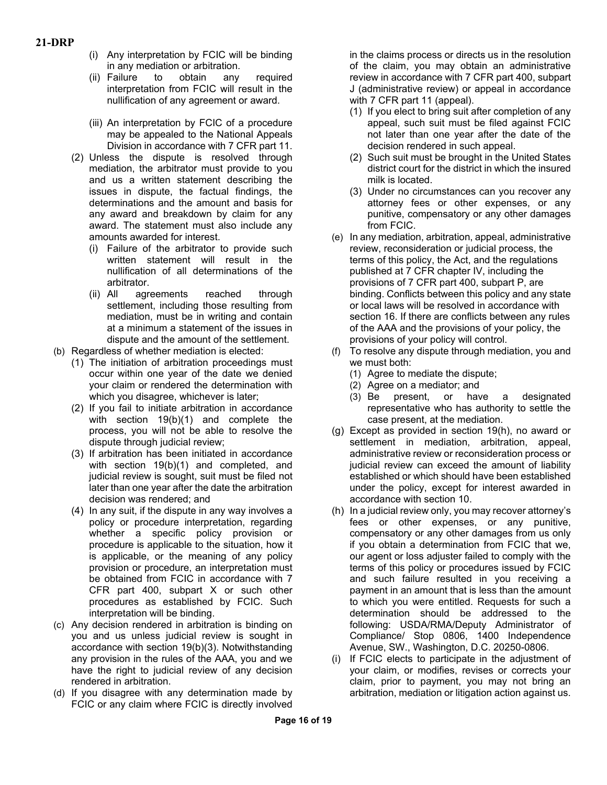- (i) Any interpretation by FCIC will be binding in any mediation or arbitration.
- (ii) Failure to obtain any required interpretation from FCIC will result in the nullification of any agreement or award.
- (iii) An interpretation by FCIC of a procedure may be appealed to the National Appeals Division in accordance with 7 CFR part 11.
- (2) Unless the dispute is resolved through mediation, the arbitrator must provide to you and us a written statement describing the issues in dispute, the factual findings, the determinations and the amount and basis for any award and breakdown by claim for any award. The statement must also include any amounts awarded for interest.
	- (i) Failure of the arbitrator to provide such written statement will result in the nullification of all determinations of the arbitrator.
	- (ii) All agreements reached through settlement, including those resulting from mediation, must be in writing and contain at a minimum a statement of the issues in dispute and the amount of the settlement.
- (b) Regardless of whether mediation is elected:
	- (1) The initiation of arbitration proceedings must occur within one year of the date we denied your claim or rendered the determination with which you disagree, whichever is later;
	- (2) If you fail to initiate arbitration in accordance with section 19(b)(1) and complete the process, you will not be able to resolve the dispute through judicial review;
	- (3) If arbitration has been initiated in accordance with section 19(b)(1) and completed, and judicial review is sought, suit must be filed not later than one year after the date the arbitration decision was rendered; and
	- (4) In any suit, if the dispute in any way involves a policy or procedure interpretation, regarding whether a specific policy provision or procedure is applicable to the situation, how it is applicable, or the meaning of any policy provision or procedure, an interpretation must be obtained from FCIC in accordance with 7 CFR part 400, subpart X or such other procedures as established by FCIC. Such interpretation will be binding.
- (c) Any decision rendered in arbitration is binding on you and us unless judicial review is sought in accordance with section 19(b)(3). Notwithstanding any provision in the rules of the AAA, you and we have the right to judicial review of any decision rendered in arbitration.
- (d) If you disagree with any determination made by FCIC or any claim where FCIC is directly involved

in the claims process or directs us in the resolution of the claim, you may obtain an administrative review in accordance with 7 CFR part 400, subpart J (administrative review) or appeal in accordance with 7 CFR part 11 (appeal).

- (1) If you elect to bring suit after completion of any appeal, such suit must be filed against FCIC not later than one year after the date of the decision rendered in such appeal.
- (2) Such suit must be brought in the United States district court for the district in which the insured milk is located.
- (3) Under no circumstances can you recover any attorney fees or other expenses, or any punitive, compensatory or any other damages from FCIC.
- (e) In any mediation, arbitration, appeal, administrative review, reconsideration or judicial process, the terms of this policy, the Act, and the regulations published at 7 CFR chapter IV, including the provisions of 7 CFR part 400, subpart P, are binding. Conflicts between this policy and any state or local laws will be resolved in accordance with section 16. If there are conflicts between any rules of the AAA and the provisions of your policy, the provisions of your policy will control.
- (f) To resolve any dispute through mediation, you and we must both:
	- (1) Agree to mediate the dispute;
	- (2) Agree on a mediator; and
	- (3) Be present, or have a designated representative who has authority to settle the case present, at the mediation.
- (g) Except as provided in section 19(h), no award or settlement in mediation, arbitration, appeal, administrative review or reconsideration process or judicial review can exceed the amount of liability established or which should have been established under the policy, except for interest awarded in accordance with section 10.
- (h) In a judicial review only, you may recover attorney's fees or other expenses, or any punitive, compensatory or any other damages from us only if you obtain a determination from FCIC that we, our agent or loss adjuster failed to comply with the terms of this policy or procedures issued by FCIC and such failure resulted in you receiving a payment in an amount that is less than the amount to which you were entitled. Requests for such a determination should be addressed to the following: USDA/RMA/Deputy Administrator of Compliance/ Stop 0806, 1400 Independence Avenue, SW., Washington, D.C. 20250-0806.
- (i) If FCIC elects to participate in the adjustment of your claim, or modifies, revises or corrects your claim, prior to payment, you may not bring an arbitration, mediation or litigation action against us.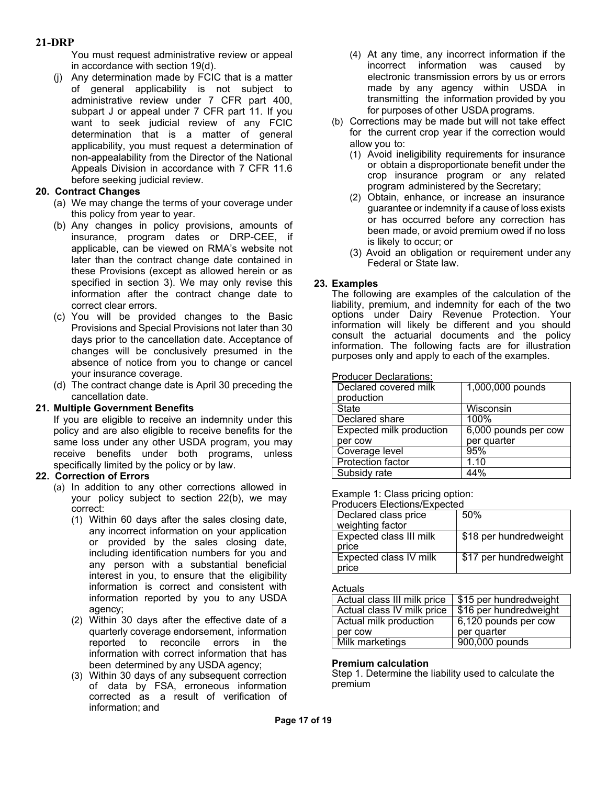You must request administrative review or appeal in accordance with section 19(d).

(j) Any determination made by FCIC that is a matter of general applicability is not subject to administrative review under 7 CFR part 400, subpart J or appeal under 7 CFR part 11. If you want to seek judicial review of any FCIC determination that is a matter of general applicability, you must request a determination of non-appealability from the Director of the National Appeals Division in accordance with 7 CFR 11.6 before seeking judicial review.

#### **20. Contract Changes**

- (a) We may change the terms of your coverage under this policy from year to year.
- (b) Any changes in policy provisions, amounts of insurance, program dates or DRP-CEE, if applicable, can be viewed on RMA's website not later than the contract change date contained in these Provisions (except as allowed herein or as specified in section 3). We may only revise this information after the contract change date to correct clear errors.
- (c) You will be provided changes to the Basic Provisions and Special Provisions not later than 30 days prior to the cancellation date. Acceptance of changes will be conclusively presumed in the absence of notice from you to change or cancel your insurance coverage.
- (d) The contract change date is April 30 preceding the cancellation date.

#### **21. Multiple Government Benefits**

If you are eligible to receive an indemnity under this policy and are also eligible to receive benefits for the same loss under any other USDA program, you may receive benefits under both programs, unless specifically limited by the policy or by law.

#### **22. Correction of Errors**

- (a) In addition to any other corrections allowed in your policy subject to section 22(b), we may correct:
	- (1) Within 60 days after the sales closing date, any incorrect information on your application or provided by the sales closing date, including identification numbers for you and any person with a substantial beneficial interest in you, to ensure that the eligibility information is correct and consistent with information reported by you to any USDA agency;
	- (2) Within 30 days after the effective date of a quarterly coverage endorsement, information reported to reconcile errors in the information with correct information that has been determined by any USDA agency;
	- (3) Within 30 days of any subsequent correction of data by FSA, erroneous information corrected as a result of verification of information; and
- (4) At any time, any incorrect information if the incorrect information was caused by electronic transmission errors by us or errors made by any agency within USDA in transmitting the information provided by you for purposes of other USDA programs.
- (b) Corrections may be made but will not take effect for the current crop year if the correction would allow you to:
	- (1) Avoid ineligibility requirements for insurance or obtain a disproportionate benefit under the crop insurance program or any related program administered by the Secretary;
	- (2) Obtain, enhance, or increase an insurance guarantee or indemnity if a cause of loss exists or has occurred before any correction has been made, or avoid premium owed if no loss is likely to occur; or
	- (3) Avoid an obligation or requirement under any Federal or State law.

## **23. Examples**

The following are examples of the calculation of the liability, premium, and indemnity for each of the two options under Dairy Revenue Protection. Your information will likely be different and you should consult the actuarial documents and the policy information. The following facts are for illustration purposes only and apply to each of the examples.

Producer Declarations:

| Declared covered milk<br>production | 1,000,000 pounds     |
|-------------------------------------|----------------------|
| State                               | Wisconsin            |
| Declared share                      | 100%                 |
| Expected milk production            | 6,000 pounds per cow |
| per cow                             | per quarter          |
| Coverage level                      | 95%                  |
| <b>Protection factor</b>            | 1.10                 |
| Subsidy rate                        | $\overline{44\%}$    |

#### Example 1: Class pricing option:

| <b>Producers Elections/Expected</b> |                        |  |
|-------------------------------------|------------------------|--|
| Declared class price                | 50%                    |  |
| weighting factor                    |                        |  |
| <b>Expected class III milk</b>      | \$18 per hundredweight |  |
| price                               |                        |  |
| Expected class IV milk              | \$17 per hundredweight |  |
| price                               |                        |  |

Actuals

| Actual class III milk price | \$15 per hundredweight |
|-----------------------------|------------------------|
| Actual class IV milk price  | \$16 per hundredweight |
| Actual milk production      | 6,120 pounds per cow   |
| per cow                     | per quarter            |
| Milk marketings             | 900,000 pounds         |

#### **Premium calculation**

Step 1. Determine the liability used to calculate the premium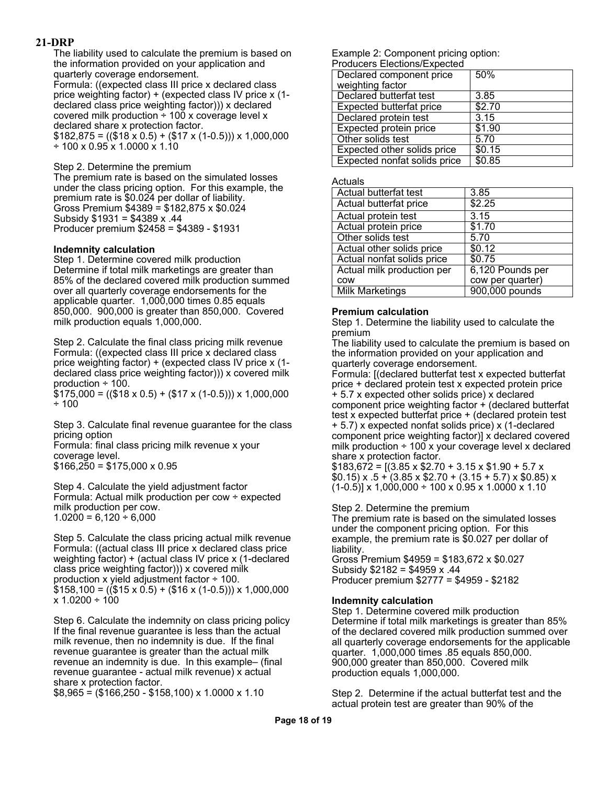The liability used to calculate the premium is based on the information provided on your application and quarterly coverage endorsement. Formula: ((expected class III price x declared class price weighting factor) + (expected class IV price x (1 declared class price weighting factor))) x declared covered milk production  $\div$  100 x coverage level x declared share x protection factor.  $$182,875 = (($18 x 0.5) + ($17 x (1-0.5)) \times 1,000,000$  $\div$  100 x 0.95 x 1.0000 x 1.10

Step 2. Determine the premium

The premium rate is based on the simulated losses under the class pricing option. For this example, the premium rate is \$0.024 per dollar of liability. Gross Premium \$4389 = \$182,875 x \$0.024 Subsidy \$1931 = \$4389 x .44 Producer premium \$2458 = \$4389 - \$1931

#### **Indemnity calculation**

Step 1. Determine covered milk production Determine if total milk marketings are greater than 85% of the declared covered milk production summed over all quarterly coverage endorsements for the applicable quarter. 1,000,000 times 0.85 equals 850,000. 900,000 is greater than 850,000. Covered milk production equals 1,000,000.

Step 2. Calculate the final class pricing milk revenue Formula: ((expected class III price x declared class price weighting factor) + (expected class IV price x (1 declared class price weighting factor))) x covered milk production ÷ 100.

 $$175,000 = (($18 x 0.5) + ($17 x (1-0.5)) \times 1,000,000$ ÷ 100

Step 3. Calculate final revenue guarantee for the class pricing option

Formula: final class pricing milk revenue x your coverage level.  $$166,250 = $175,000 \times 0.95$ 

Step 4. Calculate the yield adjustment factor Formula: Actual milk production per cow ÷ expected milk production per cow.  $1.0200 = 6{,}120 \div 6{,}000$ 

Step 5. Calculate the class pricing actual milk revenue Formula: ((actual class III price x declared class price weighting factor) + (actual class IV price x (1-declared class price weighting factor))) x covered milk production x yield adjustment factor ÷ 100.  $$158,100 = (($15 x 0.5) + ($16 x (1-0.5)) \times 1,000,000$  $x 1.0200 \div 100$ 

Step 6. Calculate the indemnity on class pricing policy If the final revenue guarantee is less than the actual milk revenue, then no indemnity is due. If the final revenue guarantee is greater than the actual milk revenue an indemnity is due. In this example– (final revenue guarantee - actual milk revenue) x actual share x protection factor.

 $$8,965 = ($166,250 - $158,100) \times 1.0000 \times 1.10$ 

Example 2: Component pricing option: Producers Elections/Expected

| <b>FIUGULEIS EIECIUIS/EXPECIEG</b> |        |
|------------------------------------|--------|
| Declared component price           | 50%    |
| weighting factor                   |        |
| Declared butterfat test            | 3.85   |
| Expected butterfat price           | \$2.70 |
| Declared protein test              | 3.15   |
| Expected protein price             | \$1.90 |
| Other solids test                  | 5.70   |
| Expected other solids price        | \$0.15 |
| Expected nonfat solids price       | \$0.85 |

#### Actuals

| Actual butterfat test      | 3.85             |
|----------------------------|------------------|
| Actual butterfat price     | \$2.25           |
| Actual protein test        | 3.15             |
| Actual protein price       | $\sqrt{$1.70}$   |
| Other solids test          | 5.70             |
| Actual other solids price  | \$0.12           |
| Actual nonfat solids price | \$0.75           |
| Actual milk production per | 6,120 Pounds per |
| COW                        | cow per quarter) |
| <b>Milk Marketings</b>     | 900,000 pounds   |

#### **Premium calculation**

Step 1. Determine the liability used to calculate the premium

The liability used to calculate the premium is based on the information provided on your application and quarterly coverage endorsement.

Formula: [(declared butterfat test x expected butterfat price + declared protein test x expected protein price + 5.7 x expected other solids price) x declared component price weighting factor + (declared butterfat test x expected butterfat price + (declared protein test + 5.7) x expected nonfat solids price) x (1-declared component price weighting factor)] x declared covered milk production  $\div$  100 x your coverage level x declared share x protection factor.

 $$183,672 = [(3.85 \times $2.70 + 3.15 \times $1.90 + 5.7 \times$  $$0.15$ ) x  $.5 + (3.85 \times $2.70 + (3.15 + 5.7) \times $0.85)$  x  $(1-0.5)$ ] x 1,000,000 ÷ 100 x 0.95 x 1.0000 x 1.10

Step 2. Determine the premium

The premium rate is based on the simulated losses under the component pricing option. For this example, the premium rate is \$0.027 per dollar of liability.

Gross Premium \$4959 = \$183,672 x \$0.027 Subsidy \$2182 = \$4959 x .44 Producer premium \$2777 = \$4959 - \$2182

#### **Indemnity calculation**

Step 1. Determine covered milk production Determine if total milk marketings is greater than 85% of the declared covered milk production summed over all quarterly coverage endorsements for the applicable quarter. 1,000,000 times .85 equals 850,000. 900,000 greater than 850,000. Covered milk production equals 1,000,000.

Step 2. Determine if the actual butterfat test and the actual protein test are greater than 90% of the